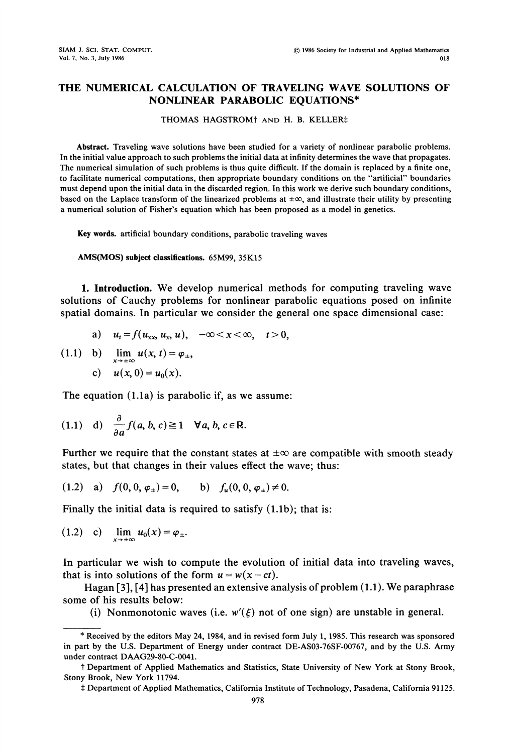## THE NUMERICAL CALCULATION OF TRAVELING WAVE SOLUTIONS OF NONLINEAR PARABOLIC EQUATIONS\*

## THOMAS HAGSTROM<sup>†</sup> AND H. B. KELLER‡

Abstract. Traveling wave solutions have been studied for a variety of nonlinear parabolic problems. In the initial value approach to such problems the initial data at infinity determines the wave that propagates. The numerical simulation of such problems is thus quite difficult. If the domain is replaced by a finite one, to facilitate numerical computations, then appropriate boundary conditions on the "artificial" boundaries must depend upon the initial data in the discarded region. In this work we derive such boundary conditions, based on the Laplace transform of the linearized problems at  $\pm \infty$ , and illustrate their utility by presenting a numerical solution of Fisher's equation which has been proposed as a model in genetics.

Key words, artificial boundary conditions, parabolic traveling waves

AMS(MOS) subject classifications. 65M99, 35K15

1. Introduction. We develop numerical methods for computing traveling wave solutions of Cauchy problems for nonlinear parabolic equations posed on infinite spatial domains. In particular we consider the general one space dimensional case:

a) 
$$
u_t = f(u_{xx}, u_x, u), \quad -\infty < x < \infty, \quad t > 0,
$$

(1.1) b) 
$$
\lim_{x \to \pm \infty} u(x, t) = \varphi_{\pm},
$$
  
c)  $u(x, 0) = u_0(x).$ 

The equation (1.1a) is parabolic if, as we assume:

(1.1) d) 
$$
\frac{\partial}{\partial a} f(a, b, c) \ge 1 \quad \forall a, b, c \in \mathbb{R}
$$
.

Further we require that the constant states at  $\pm \infty$  are compatible with smooth steady states, but that changes in their values effect the wave; thus:

(1.2) a) 
$$
f(0, 0, \varphi_{\pm}) = 0
$$
, b)  $f_u(0, 0, \varphi_{\pm}) \neq 0$ .

Finally the initial data is required to satisfy (1.1b); that is:

$$
(1.2) \quad c) \quad \lim_{x\to\pm\infty} u_0(x) = \varphi_{\pm}.
$$

In particular we wish to compute the evolution of initial data into traveling waves, that is into solutions of the form  $u = w(x-ct)$ .

Hagan [3], [4] has presented an extensive analysis of problem (1.1). We paraphrase some of his results below:

(i) Nonmonotonic waves (i.e.  $w'(\xi)$  not of one sign) are unstable in general.

<sup>\*</sup> Received by the editors May 24, 1984, and in revised form July 1, 1985. This research was sponsored in part by the U.S. Department of Energy under contract DE-AS03-76SF-00767, and by the U.S. Army under contract DAAG29-80-C-0041.

Stony Brook, New York 11794. Department of Applied Mathematics and Statistics, State University of New York at Stony Brook,

<sup>,</sup> Department of Applied Mathematics, California Institute of Technology, Pasadena, California 91125.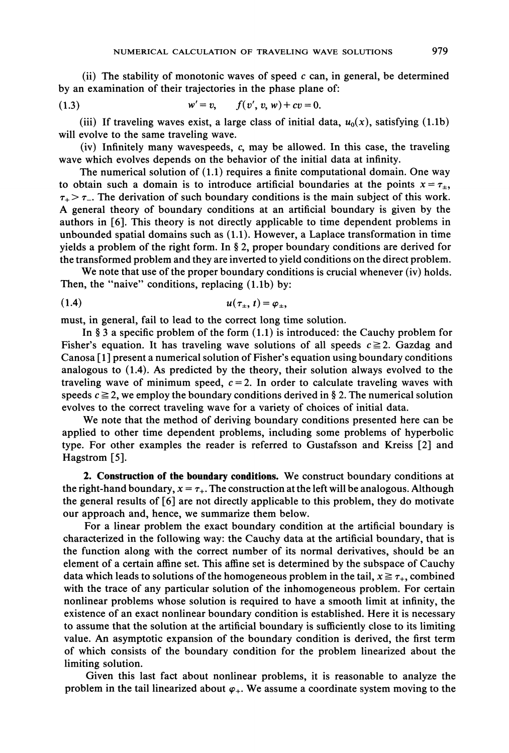(ii) The stability of monotonic waves of speed  $c$  can, in general, be determined by an examination of their trajectories in the phase plane of:

(1.3) 
$$
w' = v, \qquad f(v', v, w) + cv = 0.
$$

(iii) If traveling waves exist, a large class of initial data,  $u_0(x)$ , satisfying (1.1b) will evolve to the same traveling wave.

(iv) Infinitely many wavespeeds, c, may be allowed. In this case, the traveling wave which evolves depends on the behavior of the initial data at infinity.

The numerical solution of (1.1) requires a finite computational domain. One way to obtain such a domain is to introduce artificial boundaries at the points  $x = \tau_{\pm}$ ,  $\tau_{+} > \tau_{-}$ . The derivation of such boundary conditions is the main subject of this work. A general theory of boundary conditions at an artificial boundary is given by the authors in [6]. This theory is not directly applicable to time dependent problems in unbounded spatial domains such as (1.1). However, a Laplace transformation in time yields a problem of the right form. In  $\S 2$ , proper boundary conditions are derived for the transformed problem and they are inverted to yield conditions on the direct problem.

We note that use of the proper boundary conditions is crucial whenever (iv) holds. Then, the "naive" conditions, replacing (1.1b) by:

$$
(1.4) \t\t u(\tau_{\pm},t) = \varphi_{\pm},
$$

must, in general, fail to lead to the correct long time solution.

In § 3 a specific problem of the form  $(1.1)$  is introduced: the Cauchy problem for Fisher's equation. It has traveling wave solutions of all speeds  $c \ge 2$ . Gazdag and Canosa  $[1]$  present a numerical solution of Fisher's equation using boundary conditions analogous to (1.4). As predicted by the theory, their solution always evolved to the traveling wave of minimum speed,  $c = 2$ . In order to calculate traveling waves with speeds  $c \ge 2$ , we employ the boundary conditions derived in § 2. The numerical solution evolves to the correct traveling wave for a variety of choices of initial data.

We note that the method of deriving boundary conditions presented here can be applied to other time dependent problems, including some problems of hyperbolic type. For other examples the reader is referred to Gustafsson and Kreiss [2] and Hagstrom [5].

2. Construction of the boundary conditions. We construct boundary conditions at the right-hand boundary,  $x = \tau_{+}$ . The construction at the left will be analogous. Although the general results of [6] are not directly applicable to this problem, they do motivate our approach and, hence, we summarize them below.

For a linear problem the exact boundary condition at the artificial boundary is characterized in the following way: the Cauchy data at the artificial boundary, that is the function along with the correct number of its normal derivatives, should be an element of a certain affine set. This affine set is determined by the subspace of Cauchy data which leads to solutions of the homogeneous problem in the tail,  $x \geq \tau_{+}$ , combined with the trace of any particular solution of the inhomogeneous problem. For certain nonlinear problems whose solution is required to have a smooth limit at infinity, the existence of an exact nonlinear boundary condition is established. Here it is necessary to assume that the solution at the artificial boundary is sufficiently close to its limiting value. An asymptotic expansion of the boundary condition is derived, the first term of which consists of the boundary condition for the problem linearized about the limiting solution.

Given this last fact about nonlinear problems, it is reasonable to analyze the problem in the tail linearized about  $\varphi_+$ . We assume a coordinate system moving to the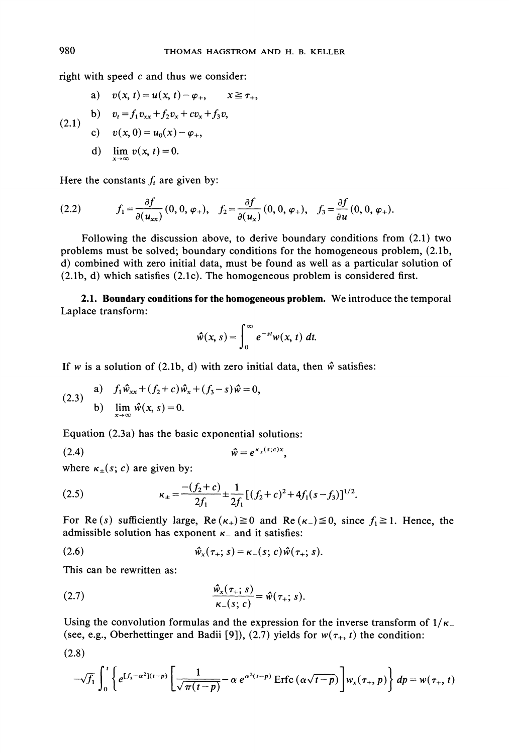right with speed  $c$  and thus we consider:

a) 
$$
v(x, t) = u(x, t) - \varphi_+, \quad x \ge \tau_+,
$$
  
\nb)  $v_t = f_1 v_{xx} + f_2 v_x + c v_x + f_3 v,$   
\nc)  $v(x, 0) = u_0(x) - \varphi_+,$ 

d) 
$$
\lim_{x\to\infty} v(x, t) = 0.
$$

Here the constants  $f_i$  are given by:

(2.2) 
$$
f_1 = \frac{\partial f}{\partial(u_{xx})}(0, 0, \varphi_+), \quad f_2 = \frac{\partial f}{\partial(u_x)}(0, 0, \varphi_+), \quad f_3 = \frac{\partial f}{\partial u}(0, 0, \varphi_+).
$$

Following the discussion above, to derive boundary conditions from (2.1) two problems must be solved; boundary conditions for the homogeneous problem, (2.1b, d) combined with zero initial data, must be found as well as a particular solution of (2.1b, d) which satisfies (2.1c). The homogeneous problem is considered first.

2.1. Boundary conditions for the homogeneous problem. We introduce the temporal Laplace transform:

$$
\hat{w}(x, s) = \int_0^\infty e^{-st} w(x, t) dt.
$$

If w is a solution of (2.1b, d) with zero initial data, then  $\hat{w}$  satisfies:

(2.3)   
\n(a) 
$$
f_1 \hat{w}_{xx} + (f_2 + c) \hat{w}_x + (f_3 - s) \hat{w} = 0,
$$
  
\n(b)  $\lim_{x \to \infty} \hat{w}(x, s) = 0.$ 

Equation (2.3a) has the basic exponential solutions:

$$
\hat{w} = e^{\kappa_{\pm}(s;c)x}
$$

where  $\kappa_{\pm}(s; c)$  are given by:

(2.5) 
$$
\kappa_{\pm} = \frac{-(f_2 + c)}{2f_1} \pm \frac{1}{2f_1} [(f_2 + c)^2 + 4f_1(s - f_3)]^{1/2}.
$$

For Re(s) sufficiently large, Re( $\kappa_+\geq 0$  and Re( $\kappa_-\geq 0$ , since  $f_1\geq 1$ . Hence, the admissible solution has exponent  $\kappa$  and it satisfies:

$$
\hat{w}_x(\tau_+; s) = \kappa_-(s; c) \hat{w}(\tau_+; s).
$$

This can be rewritten as:

(2.7) 
$$
\frac{\hat{w}_x(\tau_+; s)}{\kappa_-(s; c)} = \hat{w}(\tau_+; s).
$$

Using the convolution formulas and the expression for the inverse transform of  $1/\kappa$ (see, e.g., Oberhettinger and Badii [9]), (2.7) yields for  $w(\tau_+, t)$  the condition:

$$
(2.8)
$$

$$
-\sqrt{f_1}\int_0^t \left\{e^{[f_3-\alpha^2](t-p)}\left[\frac{1}{\sqrt{\pi(t-p)}}-\alpha\ e^{\alpha^2(t-p)}\operatorname{Erfc}(\alpha\sqrt{t-p})\right]w_x(\tau_+,p)\right\}dp=w(\tau_+,t)
$$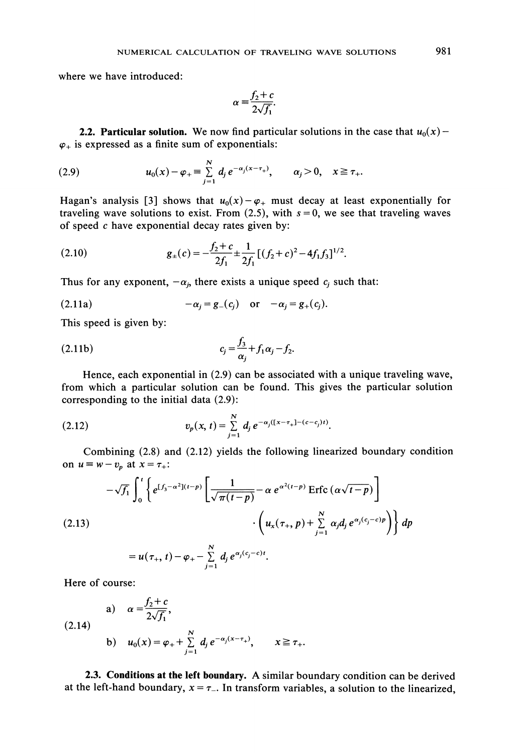where we have introduced:

$$
\alpha = \frac{f_2 + c}{2\sqrt{f_1}}.
$$

2.2. Particular solution. We now find particular solutions in the case that  $u_0(x)$  - $\varphi_+$  is expressed as a finite sum of exponentials:

(2.9) 
$$
u_0(x) - \varphi_+ = \sum_{j=1}^N d_j e^{-\alpha_j (x - \tau_+)}, \qquad \alpha_j > 0, \quad x \ge \tau_+.
$$

Hagan's analysis [3] shows that  $u_0(x)-\varphi_+$  must decay at least exponentially for traveling wave solutions to exist. From (2.5), with  $s = 0$ , we see that traveling waves of speed  $c$  have exponential decay rates given by:

(2.10) 
$$
g_{\pm}(c) = -\frac{f_2 + c}{2f_1} \pm \frac{1}{2f_1} [(f_2 + c)^2 - 4f_1f_3]^{1/2}.
$$

Thus for any exponent,  $-\alpha_j$ , there exists a unique speed  $c_j$  such that:

$$
(2.11a) \qquad \qquad -\alpha_j = g_-(c_j) \quad \text{or} \quad -\alpha_j = g_+(c_j).
$$

This speed is given by:

$$
c_j = \frac{f_3}{\alpha_i} + f_1 \alpha_j - f_2.
$$

Hence, each exponential in (2.9) can be associated with a unique traveling wave, from which a particular solution can be found. This gives the particular solution corresponding to the initial data (2.9):

(2.12) 
$$
v_p(x, t) = \sum_{j=1}^N d_j e^{-\alpha_j([x-\tau_+]-(c-c_j)t)}.
$$

Combining (2.8) and (2.12) yields the following linearized boundary condition on  $u \equiv w-v_p$  at  $x=\tau_+$ :

$$
-\sqrt{f_1} \int_0^t \left\{ e^{[f_3 - \alpha^2](t-p)} \left[ \frac{1}{\sqrt{\pi(t-p)}} - \alpha e^{\alpha^2(t-p)} \operatorname{Erfc} \left( \alpha \sqrt{t-p} \right) \right] \right\} dp
$$
  
(2.13)  

$$
\left\{ u_x(\tau_+, p) + \sum_{j=1}^N \alpha_j d_j e^{\alpha_j(c_j - c)p} \right\} dp
$$
  

$$
= u(\tau_+, t) - \varphi_+ - \sum_{j=1}^N d_j e^{\alpha_j(c_j - c)t}.
$$

Here of course:

(a) 
$$
\alpha = \frac{f_2 + c}{2\sqrt{f_1}}
$$
,  
\n(b)  $u_0(x) = \varphi_+ + \sum_{j=1}^N d_j e^{-\alpha_j(x - \tau_+)}, \qquad x \ge \tau_+$ .

2.3. Conditions at the left boundary. A similar boundary condition can be derived at the left-hand boundary,  $x = \tau_-$ . In transform variables, a solution to the linearized,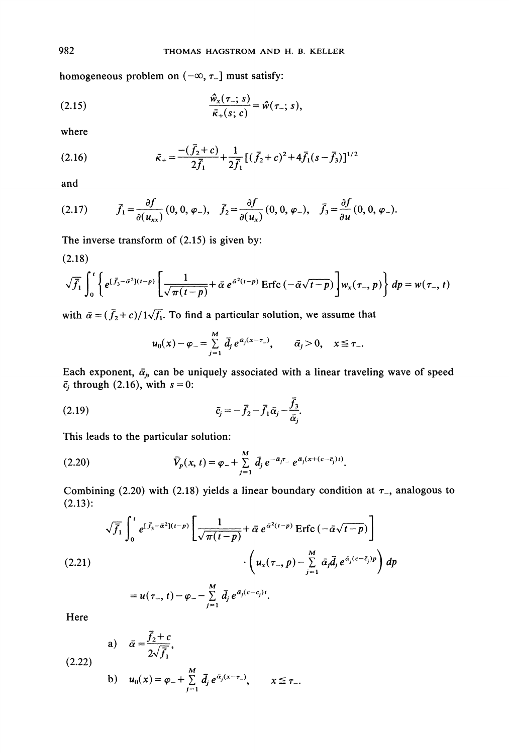homogeneous problem on  $(-\infty, \tau_{-}]$  must satisfy:

(2.15) 
$$
\frac{\hat{w}_x(\tau_-; s)}{\bar{\kappa}_+(s; c)} = \hat{w}(\tau_-; s),
$$

where

(2.16) 
$$
\bar{\kappa}_{+} = \frac{-(\bar{f}_2 + c)}{2\bar{f}_1} + \frac{1}{2\bar{f}_1} [(\bar{f}_2 + c)^2 + 4\bar{f}_1(s - \bar{f}_3)]^{1/2}
$$

and

(2.17) 
$$
\bar{f}_1 = \frac{\partial f}{\partial(u_{xx})} (0, 0, \varphi_{-}), \quad \bar{f}_2 = \frac{\partial f}{\partial(u_{x})} (0, 0, \varphi_{-}), \quad \bar{f}_3 = \frac{\partial f}{\partial u} (0, 0, \varphi_{-}).
$$

(2.18)

The inverse transform of (2.15) is given by:  
\n(2.18)  
\n
$$
\sqrt{\overline{f}_1} \int_0^t \left\{ e^{(\overline{f}_3 - \overline{\alpha}^2)(t-p)} \left[ \frac{1}{\sqrt{\pi(t-p)}} + \overline{\alpha} e^{\overline{\alpha}^2(t-p)} \operatorname{Erfc} \left( -\overline{\alpha} \sqrt{t-p} \right) \right] w_x(\tau_-, p) \right\} dp = w(\tau_-, t)
$$

with  $\bar{\alpha} = (\bar{f}_2 + c)/1\sqrt{f}_1$ . To find a particular solution, we assume that

$$
u_0(x) - \varphi_- = \sum_{j=1}^M \bar{d}_j e^{\bar{\alpha}_j(x-\tau_-)}, \qquad \bar{\alpha}_j > 0, \quad x \leq \tau_-.
$$

Each exponent,  $\bar{\alpha}_j$ , can be uniquely associated with a linear traveling wave of speed  $\bar{c}_i$  through (2.16), with  $s = 0$ :

$$
\bar{c}_j = -\bar{f}_2 - \bar{f}_1 \bar{\alpha}_j - \frac{f_3}{\bar{\alpha}_j}.
$$

This leads to the particular solution:

(2.20) 
$$
\bar{V}_p(x, t) = \varphi_- + \sum_{j=1}^M \bar{d}_j e^{-\bar{\alpha}_j \tau_-} e^{\bar{\alpha}_j (x + (c - \bar{c}_j)t)}.
$$

Combining (2.20) with (2.18) yields a linear boundary condition at  $\tau$ <sub>-</sub>, analogous to  $(2.13):$ 

$$
\sqrt{\overline{f}_1} \int_0^t e^{[\overline{f}_3 - \overline{\alpha}^2](t-p)} \left[ \frac{1}{\sqrt{\pi(t-p)}} + \overline{\alpha} e^{\overline{\alpha}^2(t-p)} \operatorname{Erfc} \left( -\overline{\alpha} \sqrt{t-p} \right) \right]
$$
  
(2.21)  

$$
\cdot \left( u_x(\tau_-, p) - \sum_{j=1}^M \overline{\alpha}_j \overline{d}_j e^{\overline{\alpha}_j(c-\overline{c}_j)p} \right) dp
$$

$$
= u(\tau_-, t) - \varphi_- - \sum_{j=1}^M \overline{d}_j e^{\overline{\alpha}_j(c-\overline{c}_j)t}.
$$

Here

(a) 
$$
\bar{\alpha} = \frac{\bar{f}_2 + c}{2\sqrt{\bar{f}_1}},
$$
  
\n(2.22)  
\nb)  $u_0(x) = \varphi_- + \sum_{j=1}^{M} \bar{d}_j e^{\bar{\alpha}_j(x-\tau_{-})}, \qquad x \le \tau_{-}.$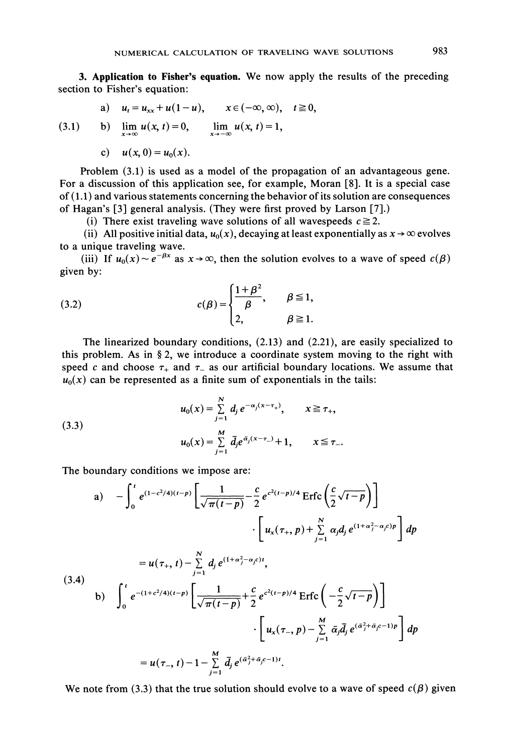3. Application to Fisher's equation. We now apply the results of the preceding section to Fisher's equation:

a) 
$$
u_t = u_{xx} + u(1-u), \quad x \in (-\infty, \infty), \quad t \ge 0,
$$

(3.1) b)  $\lim_{x \to \infty} u(x, t) = 0$ ,  $\lim_{x \to -\infty} u(x, t) = 1$ ,

c) 
$$
u(x, 0) = u_0(x)
$$
.

Problem (3.1) is used as a model of the propagation of an advantageous gene. For a discussion of this application see, for example, Moran [8]. It is a special case of (1.1) and various statements concerning the behavior of its solution are consequences of Hagan's [3] general analysis. (They were first proved by Larson [7].)

(i) There exist traveling wave solutions of all wavespeeds  $c \ge 2$ .

(ii) All positive initial data,  $u_0(x)$ , decaying at least exponentially as  $x \to \infty$  evolves to a unique traveling wave.

(iii) If  $u_0(x) \sim e^{-\beta x}$  as  $x \to \infty$ , then the solution evolves to a wave of speed  $c(\beta)$ given by:

(3.2) 
$$
c(\beta) = \begin{cases} \frac{1+\beta^2}{\beta}, & \beta \leq 1, \\ 2, & \beta \geq 1. \end{cases}
$$

The linearized boundary conditions, (2.13) and (2.21), are easily specialized to this problem. As in  $\S 2$ , we introduce a coordinate system moving to the right with speed c and choose  $\tau_+$  and  $\tau_-$  as our artificial boundary locations. We assume that  $u_0(x)$  can be represented as a finite sum of exponentials in the tails:

(3.3)  

$$
u_0(x) = \sum_{j=1}^{N} d_j e^{-\alpha_j (x - \tau_+)}, \qquad x \ge \tau_+,
$$

$$
u_0(x) = \sum_{j=1}^{M} \bar{d_j} e^{\bar{\alpha_j} (x - \tau_-)} + 1, \qquad x \le \tau_-.
$$

The boundary conditions we impose are:

$$
\begin{aligned}\n\text{a)} \quad & -\int_{0}^{t} e^{(1-c^{2}/4)(t-p)} \left[ \frac{1}{\sqrt{\pi(t-p)}} - \frac{c}{2} e^{c^{2}(t-p)/4} \operatorname{Erfc} \left( \frac{c}{2} \sqrt{t-p} \right) \right] \\
&\quad \cdot \left[ u_{x}(\tau_{+}, p) + \sum_{j=1}^{N} \alpha_{j} d_{j} e^{(1+\alpha_{j}^{2}-\alpha_{j}c)p} \right] dp \\
&= u(\tau_{+}, t) - \sum_{j=1}^{N} d_{j} e^{(1+\alpha_{j}^{2}-\alpha_{j}c)t}, \\
\text{(3.4)} \quad\n\text{b)} \quad \int_{0}^{t} e^{-(1+c^{2}/4)(t-p)} \left[ \frac{1}{\sqrt{\pi(t-p)}} + \frac{c}{2} e^{c^{2}(t-p)/4} \operatorname{Erfc} \left( -\frac{c}{2} \sqrt{t-p} \right) \right] \\
&\quad \cdot \left[ u_{x}(\tau_{-}, p) - \sum_{j=1}^{M} \bar{\alpha}_{j} \bar{d}_{j} e^{(\bar{\alpha}_{j}^{2} + \bar{\alpha}_{j}c - 1)p} \right] dp \\
&= u(\tau_{-}, t) - 1 - \sum_{j=1}^{M} \bar{d}_{j} e^{(\bar{\alpha}_{j}^{2} + \bar{\alpha}_{j}c - 1)t}.\n\end{aligned}
$$

We note from (3.3) that the true solution should evolve to a wave of speed  $c(\beta)$  given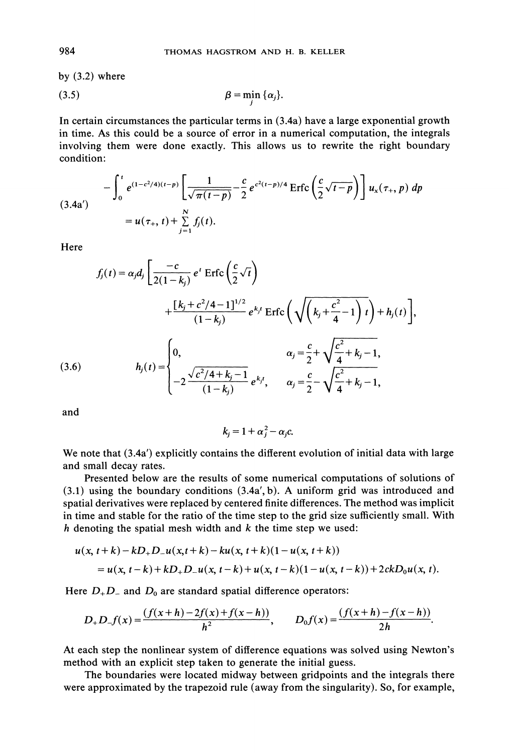by  $(3.2)$  where

$$
\beta = \min_i \{\alpha_j\}.
$$

In certain circumstances the particular terms in (3.4a) have a large exponential growth in time. As this could be a source of error in a numerical computation, the integrals involving them were done exactly. This allows us to rewrite the right boundary condition:

$$
-\int_0^t e^{(1-c^2/4)(t-p)} \left[ \frac{1}{\sqrt{\pi(t-p)}} - \frac{c}{2} e^{c^2(t-p)/4} \operatorname{Erfc} \left( \frac{c}{2} \sqrt{t-p} \right) \right] u_x(\tau_+, p) dp
$$
  
=  $u(\tau_+, t) + \sum_{j=1}^N f_j(t).$ 

**Here** 

Here  
\n
$$
f_j(t) = \alpha_j d_j \left[ \frac{-c}{2(1 - k_j)} e^{t} \operatorname{Erfc} \left( \frac{c}{2} \sqrt{t} \right) + \frac{[k_j + c^2/4 - 1]^{1/2}}{(1 - k_j)} e^{k_j t} \operatorname{Erfc} \left( \sqrt{\left( k_j + \frac{c^2}{4} - 1 \right) t} \right) + h_j(t) \right],
$$
\n(3.6)  
\n
$$
h_j(t) = \begin{cases} 0, & \alpha_j = \frac{c}{2} + \sqrt{\frac{c^2}{4} + k_j - 1}, \\ -2 \frac{\sqrt{c^2/4 + k_j - 1}}{(1 - k_j)} e^{k_j t}, & \alpha_j = \frac{c}{2} - \sqrt{\frac{c^2}{4} + k_j - 1}, \end{cases}
$$

and

$$
k_j=1+\alpha_j^2-\alpha_jc.
$$

We note that (3.4a') explicitly contains the different evolution of initial data with large and small decay rates.

Presented below are the results of some numerical computations of solutions of (3.1) using the boundary conditions (3.4a', b). A uniform grid was introduced and spatial derivatives were replaced by centered finite differences. The method was implicit in time and stable for the ratio of the time step to the grid size sufficiently small. With h denoting the spatial mesh width and  $k$  the time step we used:

$$
u(x, t+k)-kD_{+}D_{-}u(x, t+k)-ku(x, t+k)(1-u(x, t+k))
$$
  
=  $u(x, t-k)+kD_{+}D_{-}u(x, t-k)+u(x, t-k)(1-u(x, t-k))+2ckD_{0}u(x, t).$ 

Here  $D_+D_-$  and  $D_0$  are standard spatial difference operators:

$$
D_{+}D_{-}f(x) = \frac{(f(x+h)-2f(x)+f(x-h))}{h^{2}}, \qquad D_{0}f(x) = \frac{(f(x+h)-f(x-h))}{2h}.
$$

At each step the nonlinear system of difference equations was solved using Newton's method with an explicit step taken to generate the initial guess.

The boundaries were located midway between gridpoints and the integrals there were approximated by the trapezoid rule (away from the singularity). So, for example,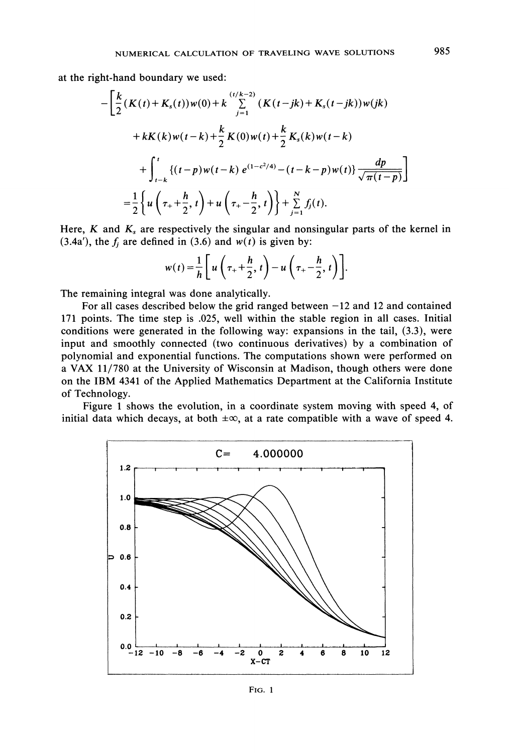at the right-hand boundary we used:

$$
-\left[\frac{k}{2}(K(t)+K_s(t))w(0)+k\sum_{j=1}^{(t/k-2)}(K(t-jk)+K_s(t-jk))w(jk)+kK(k)w(t-k)+\frac{k}{2}K(0)w(t)+\frac{k}{2}K_s(k)w(t-k)+\int_{t-k}^{t}\{(t-p)w(t-k)e^{(1-c^2/4)}-(t-k-p)w(t)\}\frac{dp}{\sqrt{\pi(t-p)}}\right]=\frac{1}{2}\left\{u\left(\tau_{+}+\frac{h}{2},t\right)+u\left(\tau_{+}-\frac{h}{2},t\right)\right\}+\sum_{j=1}^{N}f_j(t).
$$

Here,  $K$  and  $K_s$  are respectively the singular and nonsingular parts of the kernel in (3.4a'), the  $f_j$  are defined in (3.6) and  $w(t)$  is given by:

$$
w(t) = \frac{1}{h} \left[ u \left( \tau_+ + \frac{h}{2}, t \right) - u \left( \tau_+ - \frac{h}{2}, t \right) \right].
$$

The remaining integral was done analytically.

For all cases described below the grid ranged between  $-12$  and 12 and contained 171 points. The time step is .025, well within the stable region in all cases. Initial conditions were generated in the following way: expansions in the tail, (3.3), were input and smoothly connected (two continuous derivatives) by a combination of polynomial and exponential functions. The computations shown were performed on <sup>a</sup> VAX 11/780 at the University of Wisconsin at Madison, though others were done on the IBM 4341 of the Applied Mathematics Department at the California Institute of Technology.

Figure <sup>1</sup> shows the evolution, in a coordinate system moving with speed 4, of initial data which decays, at both  $\pm \infty$ , at a rate compatible with a wave of speed 4.

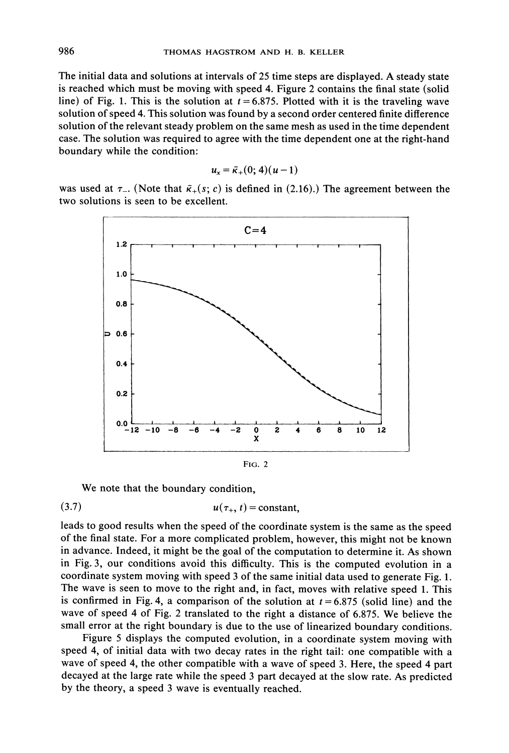The initial data and solutions at intervals of <sup>25</sup> time steps are displayed. A steady state is reached which must be moving with speed 4. Figure 2 contains the final state (solid line) of Fig. 1. This is the solution at  $t = 6.875$ . Plotted with it is the traveling wave solution of speed 4. This solution was found by a second order centered finite difference solution of the relevant steady problem on the same mesh as used in the time dependent case. The solution was required to agree with the time dependent one at the right-hand boundary while the condition:

$$
u_x=\bar{\kappa}_+(0;4)(u-1)
$$

was used at  $\tau_{-}$ . (Note that  $\bar{\kappa}_{+}(s; c)$  is defined in (2.16).) The agreement between the two solutions is seen to be excellent.



We note that the boundary condition,

$$
(3.7) \t\t u(\tau_+, t) = constant,
$$

leads to good results when the speed of the coordinate system is the same as the speed of the final state. For a more complicated problem, however, this might not be known in advance. Indeed, it might be the goal of the computation to determine it. As shown in Fig. 3, our conditions avoid this difficulty. This is the computed evolution in a coordinate system moving with speed 3 of the same initial data used to generate Fig. 1. The wave is seen to move to the right and, in fact, moves with relative speed 1. This is confirmed in Fig. 4, a comparison of the solution at  $t = 6.875$  (solid line) and the wave of speed <sup>4</sup> of Fig. <sup>2</sup> translated to the right <sup>a</sup> distance of 6.875. We believe the small error at the right boundary is due to the use of linearized boundary conditions.

Figure <sup>5</sup> displays the computed evolution, in a coordinate system moving with speed 4, of initial data with two decay rates in the right tail: one compatible with a wave of speed 4, the other compatible with a wave of speed 3. Here, the speed 4 part decayed at the large rate while the speed 3 part decayed at the slow rate. As predicted by the theory, a speed <sup>3</sup> wave is eventually reached.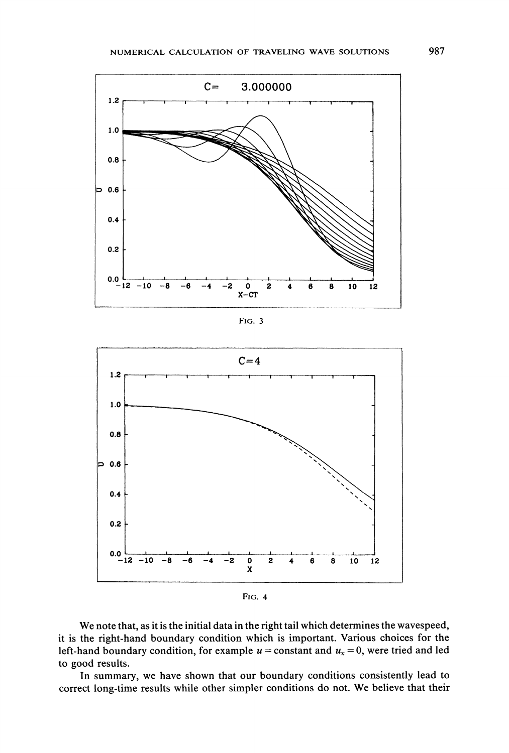

FIG. 3



FIG. 4

We note that, as it is the initial data in the right tail which determines the wavespeed, it is the right-hand boundary condition which is important. Various choices for the left-hand boundary condition, for example  $u =$  constant and  $u_x = 0$ , were tried and led to good results.

In summary, we have shown that our boundary conditions consistently lead to correct long-time results while other simpler conditions do not. We believe that their